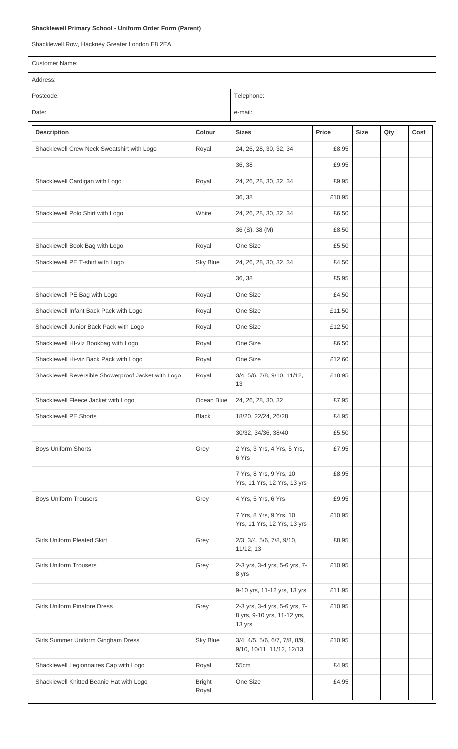## **Shacklewell Primary School - Uniform Order Form (Parent)**

Shacklewell Row, Hackney Greater London E8 2EA

Customer Name:

Address:

| Postcode: | Telephone: |
|-----------|------------|
| Date:     | e-mail:    |

**Description Colour Sizes Price Size Qty Cost** Shacklewell Crew Neck Sweatshirt with Logo Royal 24, 26, 28, 30, 32, 34 E8.95 36, 38 £9.95 Shacklewell Cardigan with Logo Royal Royal 24, 26, 28, 30, 32, 34 £9.95 36, 38 £10.95 Shacklewell Polo Shirt with Logo White 24, 26, 28, 30, 32, 34 £6.50 36 (S), 38 (M) £8.50 Shacklewell Book Bag with Logo Royal Royal | One Size | 25.50 Shacklewell PE T-shirt with Logo Shacklewell PE T-shirt with Logo Shacklewell PE T-shirt with Logo Shacklewell 36, 38 £5.95 Shacklewell PE Bag with Logo Royal Royal One Size Range and E4.50 Shacklewell Infant Back Pack with Logo Royal Royal | One Size | 211.50 Shacklewell Junior Back Pack with Logo Royal Royal One Size Rose Rotate 212.50 Shacklewell HI-viz Bookbag with Logo Royal Royal One Size Rose Rose Rose 26.50 Shacklewell Hi-viz Back Pack with Logo <br>
Royal | One Size | E12.60 Shacklewell Reversible Showerproof Jacket with Logo | Royal | 3/4, 5/6, 7/8, 9/10, 11/12, 13 £18.95 Shacklewell Fleece Jacket with Logo (Crean Blue 24, 26, 28, 30, 32 £7.95) Shacklewell PE Shorts **Black Black** 18/20, 22/24, 26/28 **£4.95** 30/32, 34/36, 38/40 £5.50 Boys Uniform Shorts Grey Art | Grey | 2 Yrs, 3 Yrs, 4 Yrs, 5 Yrs, 6 Yrs £7.95 7 Yrs, 8 Yrs, 9 Yrs, 10 Yrs, 11 Yrs, 12 Yrs, 13 yrs £8.95

7 Yrs, 8 Yrs, 9 Yrs, 10

£10.95

Boys Uniform Trousers **Grey EXALL** Grey Grey Tarking A Yrs, 5 Yrs, 6 Yrs Trousers E9.95

|                                          |                        | Yrs, 11 Yrs, 12 Yrs, 13 yrs                                            |        |  |  |
|------------------------------------------|------------------------|------------------------------------------------------------------------|--------|--|--|
| <b>Girls Uniform Pleated Skirt</b>       | Grey                   | 2/3, 3/4, 5/6, 7/8, 9/10,<br>11/12, 13                                 | £8.95  |  |  |
| <b>Girls Uniform Trousers</b>            | Grey                   | 2-3 yrs, 3-4 yrs, 5-6 yrs, 7-<br>8 yrs                                 | £10.95 |  |  |
|                                          |                        | 9-10 yrs, 11-12 yrs, 13 yrs                                            | £11.95 |  |  |
| <b>Girls Uniform Pinafore Dress</b>      | Grey                   | 2-3 yrs, 3-4 yrs, 5-6 yrs, 7-<br>8 yrs, 9-10 yrs, 11-12 yrs,<br>13 yrs | £10.95 |  |  |
| Girls Summer Uniform Gingham Dress       | <b>Sky Blue</b>        | 3/4, 4/5, 5/6, 6/7, 7/8, 8/9,<br>9/10, 10/11, 11/12, 12/13             | £10.95 |  |  |
| Shacklewell Legionnaires Cap with Logo   | Royal                  | 55cm                                                                   | £4.95  |  |  |
| Shacklewell Knitted Beanie Hat with Logo | <b>Bright</b><br>Royal | One Size                                                               | £4.95  |  |  |